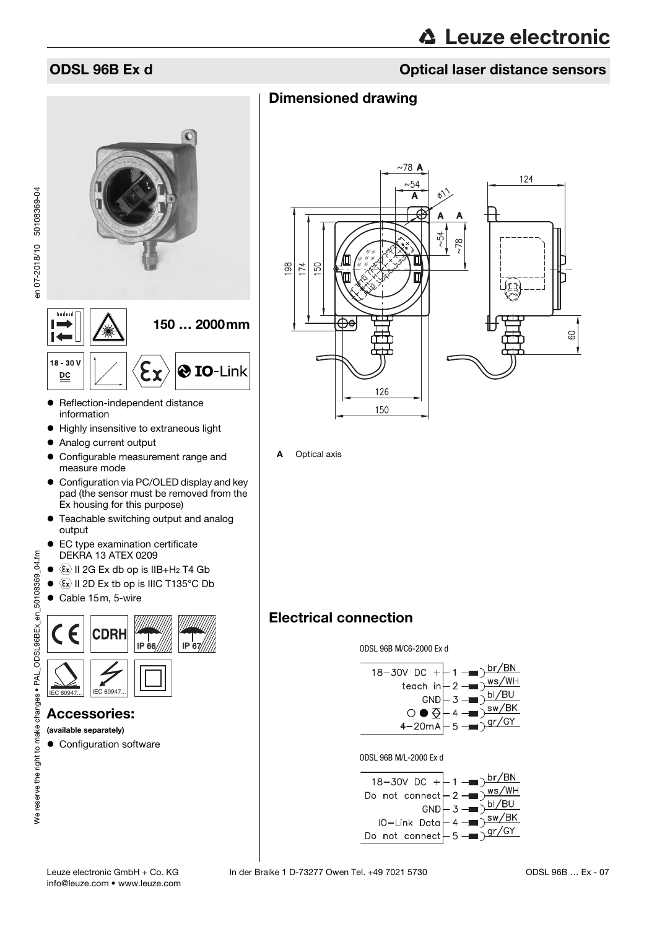# **ODSL 96B Ex d** Optical laser distance sensors

# Dimensioned drawing





## Accessories:

(available separately)

• Configuration software



A Optical axis

# Electrical connection





#### ODSL 96B M/L-2000 Ex d

<span id="page-0-0"></span>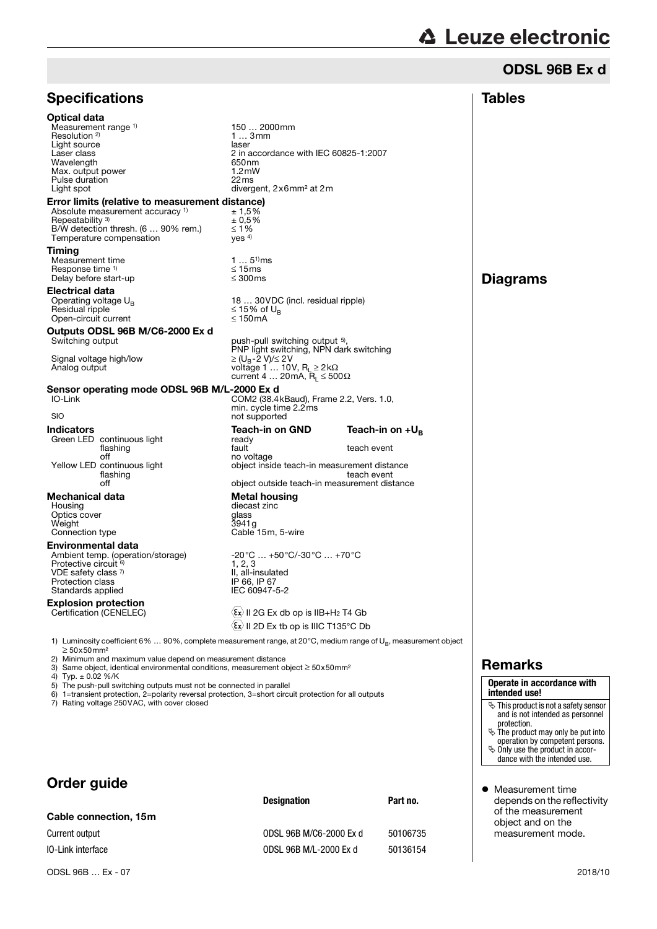# ODSL 96B Ex d

|                                                                                                                                                                                                                                                                                                                         |                                                                                                                                                                                             |                                                    | <b>Tables</b>                                                                                             |
|-------------------------------------------------------------------------------------------------------------------------------------------------------------------------------------------------------------------------------------------------------------------------------------------------------------------------|---------------------------------------------------------------------------------------------------------------------------------------------------------------------------------------------|----------------------------------------------------|-----------------------------------------------------------------------------------------------------------|
| <b>Specifications</b>                                                                                                                                                                                                                                                                                                   |                                                                                                                                                                                             |                                                    |                                                                                                           |
| <b>Optical data</b><br>Measurement range 1)<br>Resolution <sup>2)</sup><br>Light source<br>Laser class<br>Wavelength<br>Max. output power<br>Pulse duration<br>Light spot                                                                                                                                               | 150  2000mm<br>13mm<br>laser<br>2 in accordance with IEC 60825-1:2007<br>650 <sub>nm</sub><br>1.2 <sub>m</sub><br>22 <sub>ms</sub><br>divergent, 2x6mm <sup>2</sup> at 2m                   |                                                    |                                                                                                           |
| Error limits (relative to measurement distance)<br>Absolute measurement accuracy <sup>1)</sup><br>Repeatability 3)<br>B/W detection thresh. (6  90% rem.)<br>Temperature compensation<br>Timing                                                                                                                         | ± 1,5%<br>± 0.5%<br>$\leq 1\%$<br>Yes <sup>4</sup>                                                                                                                                          |                                                    |                                                                                                           |
| Measurement time<br>Response time <sup>1)</sup><br>Delay before start-up                                                                                                                                                                                                                                                | $15^{1}$ ms<br>$\leq 15$ ms<br>$\leq 300$ ms                                                                                                                                                |                                                    | <b>Diagrams</b>                                                                                           |
| Electrical data<br>Operating voltage $U_{\rm B}$<br>Residual ripple<br>Open-circuit current                                                                                                                                                                                                                             | 18  30 VDC (incl. residual ripple)<br>≤ 15% of U <sub>¤</sub><br>$\leq 150$ mA                                                                                                              |                                                    |                                                                                                           |
| Outputs ODSL 96B M/C6-2000 Ex d<br>Switching output<br>Signal voltage high/low<br>Analog output                                                                                                                                                                                                                         | push-pull switching output 5),<br>PNP light switching, NPN dark switching<br>≥ (U <sub>B</sub> -2 V)/≤ 2 V<br>voltage 1  10V, $R_1 \geq 2k\Omega$<br>current 4  20 mA, $R_L \le 500 \Omega$ |                                                    |                                                                                                           |
| Sensor operating mode ODSL 96B M/L-2000 Ex d<br>IO-Link<br><b>SIO</b>                                                                                                                                                                                                                                                   | COM2 (38.4 kBaud), Frame 2.2, Vers. 1.0,<br>min. cycle time 2.2ms<br>not supported                                                                                                          |                                                    |                                                                                                           |
| <b>Indicators</b><br>Green LED continuous light<br>flashing<br>off<br>Yellow LED continuous light<br>flashing<br>off                                                                                                                                                                                                    | <b>Teach-in on GND</b><br>ready<br>fault<br>no voltage<br>object inside teach-in measurement distance<br>object outside teach-in measurement distance                                       | Teach-in on $+U_{B}$<br>teach event<br>teach event |                                                                                                           |
| Mechanical data<br>Housing<br>Optics cover<br>Weight<br>Connection type                                                                                                                                                                                                                                                 | <b>Metal housing</b><br>diecast zinc<br>glass<br>3941g<br>Cable 15m, 5-wire                                                                                                                 |                                                    |                                                                                                           |
| Environmental data<br>Ambient temp. (operation/storage)<br>Protective circuit <sup>6)</sup><br>VDE safety class $7$<br>Protection class<br>Standards applied                                                                                                                                                            | -20°C … +50°C/-30°C … +70°C<br>1, 2, 3<br>II. all-insulated<br>IP 66, IP 67<br>IEC 60947-5-2                                                                                                |                                                    |                                                                                                           |
| <b>Explosion protection</b><br>Certification (CENELEC)                                                                                                                                                                                                                                                                  | $\langle \overline{\epsilon} \mathbf{x} \rangle$ II 2G Ex db op is IIB+H <sub>2</sub> T4 Gb<br>$\langle \overline{\epsilon} \mathbf{x} \rangle$ II 2D Ex tb op is IIIC T135°C Db            |                                                    |                                                                                                           |
| 1) Luminosity coefficient 6%  90%, complete measurement range, at 20°C, medium range of $U_R$ , measurement object<br>$\geq 50x50$ mm <sup>2</sup><br>2) Minimum and maximum value depend on measurement distance<br>3) Same object, identical environmental conditions, measurement object $\geq$ 50x50mm <sup>2</sup> |                                                                                                                                                                                             |                                                    | <b>Remarks</b>                                                                                            |
| 4) Typ. $\pm$ 0.02 %/K<br>5) The push-pull switching outputs must not be connected in parallel<br>6) 1=transient protection, 2=polarity reversal protection, 3=short circuit protection for all outputs<br>7) Rating voltage 250VAC, with cover closed                                                                  |                                                                                                                                                                                             |                                                    | Operate in accordan<br>intended use!<br>$\mathfrak{S}$ This product is not a sa<br>and is not intended as |

# Order guide

|                          | <b>Designation</b>      | Part no. |
|--------------------------|-------------------------|----------|
| Cable connection, 15m    |                         |          |
| Current output           | ODSL 96B M/C6-2000 Ex d | 50106735 |
| <b>10-Link interface</b> | ODSL 96B M/L-2000 Ex d  | 50136154 |

| Operate in accordance with<br>intended use! |
|---------------------------------------------|
|                                             |

- afety sensor<br>s personnel and is not intended as personnel<br>
y The product may only be put into<br>
operation by competent persons.<br>  $\&$  Only use the product in accor-<br>
dance with the intended use.
- 
- 
- $\bullet$  Measurement time depends on the reflectivity of the measurement object and on the measurement mode.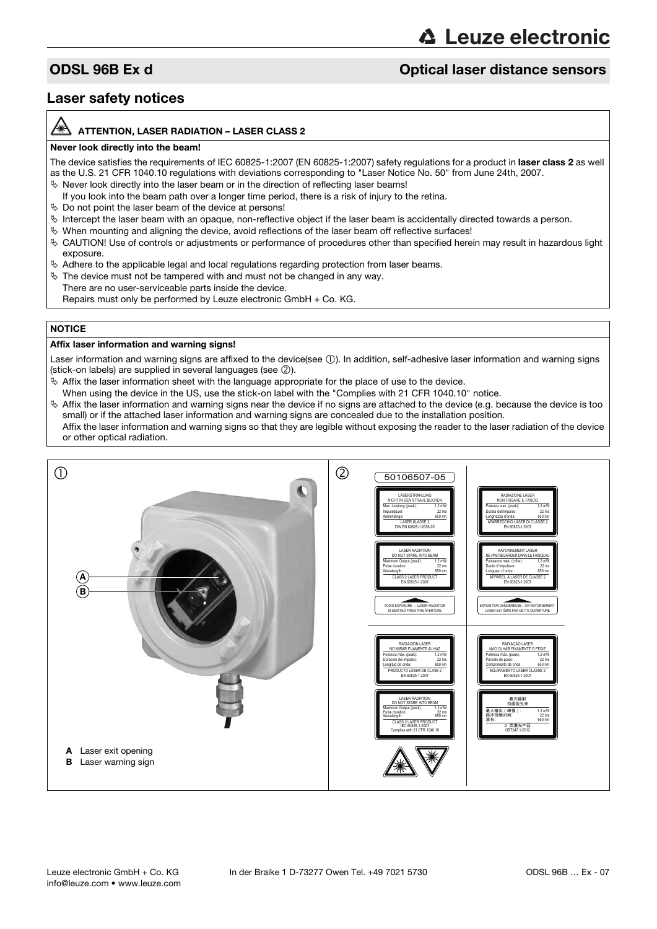# **△ Leuze electronic**

# **ODSL 96B Ex d** Optical laser distance sensors

# Laser safety notices

#### ATTENTION, LASER RADIATION – LASER CLASS 2

#### Never look directly into the beam!

The device satisfies the requirements of IEC 60825-1:2007 (EN 60825-1:2007) safety regulations for a product in laser class 2 as well as the U.S. 21 CFR 1040.10 regulations with deviations corresponding to "Laser Notice No. 50" from June 24th, 2007.

- $\%$  Never look directly into the laser beam or in the direction of reflecting laser beams!
- If you look into the beam path over a longer time period, there is a risk of injury to the retina.
- $\%$  Do not point the laser beam of the device at persons!
- $\%$  Intercept the laser beam with an opaque, non-reflective object if the laser beam is accidentally directed towards a person.
- When mounting and aligning the device, avoid reflections of the laser beam off reflective surfaces!
- CAUTION! Use of controls or adjustments or performance of procedures other than specified herein may result in hazardous light exposure.
- $\&$  Adhere to the applicable legal and local regulations regarding protection from laser beams.
- $\%$  The device must not be tampered with and must not be changed in any way.
- There are no user-serviceable parts inside the device.
	- Repairs must only be performed by Leuze electronic GmbH + Co. KG.

### **NOTICE**

#### Affix laser information and warning signs!

Laser information and warning signs are affixed to the device(see 1). In addition, self-adhesive laser information and warning signs (stick-on labels) are supplied in several languages (see 2).

- $\&$  Affix the laser information sheet with the language appropriate for the place of use to the device.
- When using the device in the US, use the stick-on label with the "Complies with 21 CFR 1040.10" notice.
- $\%$  Affix the laser information and warning signs near the device if no signs are attached to the device (e.g. because the device is too small) or if the attached laser information and warning signs are concealed due to the installation position.

Affix the laser information and warning signs so that they are legible without exposing the reader to the laser radiation of the device or other optical radiation.

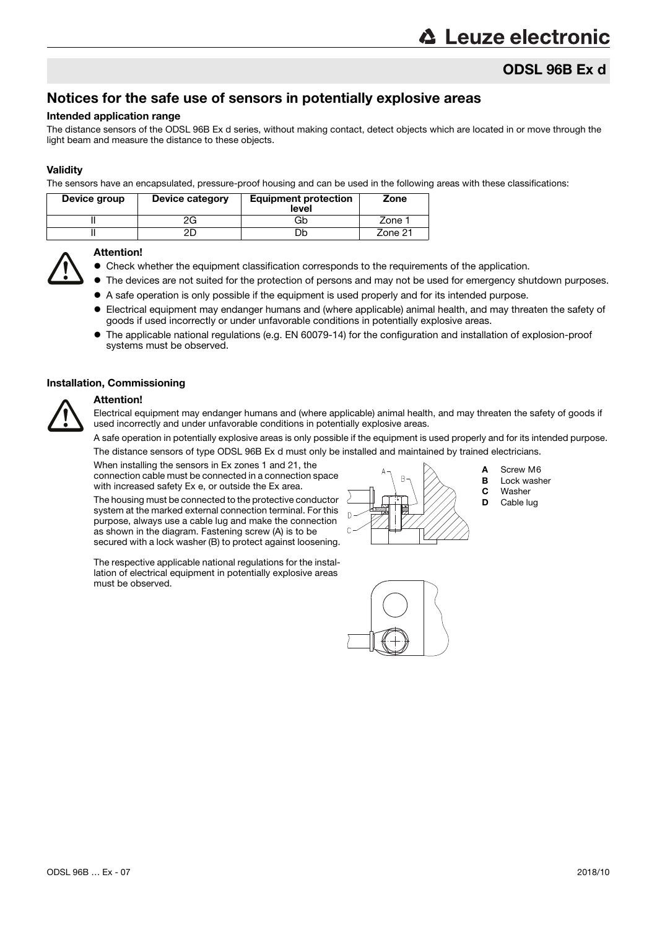# ODSL 96B Ex d

# Notices for the safe use of sensors in potentially explosive areas

#### Intended application range

The distance sensors of the ODSL 96B Ex d series, without making contact, detect objects which are located in or move through the light beam and measure the distance to these objects.

### **Validity**

The sensors have an encapsulated, pressure-proof housing and can be used in the following areas with these classifications:

| Device group | Device category | <b>Equipment protection</b><br>level | Zone    |
|--------------|-----------------|--------------------------------------|---------|
|              | ∠∪              | Gb                                   | Zone 1  |
|              |                 | Jb                                   | Zone 21 |



#### Attention!

- Check whether the equipment classification corresponds to the requirements of the application.
- The devices are not suited for the protection of persons and may not be used for emergency shutdown purposes.
- A safe operation is only possible if the equipment is used properly and for its intended purpose.
- Electrical equipment may endanger humans and (where applicable) animal health, and may threaten the safety of goods if used incorrectly or under unfavorable conditions in potentially explosive areas.
- The applicable national regulations (e.g. EN 60079-14) for the configuration and installation of explosion-proof systems must be observed.

#### Installation, Commissioning

# Attention!

Electrical equipment may endanger humans and (where applicable) animal health, and may threaten the safety of goods if used incorrectly and under unfavorable conditions in potentially explosive areas.

A safe operation in potentially explosive areas is only possible if the equipment is used properly and for its intended purpose.

The distance sensors of type ODSL 96B Ex d must only be installed and maintained by trained electricians.

When installing the sensors in Ex zones 1 and 21, the connection cable must be connected in a connection space with increased safety Ex e, or outside the Ex area.

The housing must be connected to the protective conductor system at the marked external connection terminal. For this purpose, always use a cable lug and make the connection as shown in the diagram. Fastening screw (A) is to be secured with a lock washer (B) to protect against loosening.

The respective applicable national regulations for the installation of electrical equipment in potentially explosive areas must be observed.



- A Screw M6
- **B** Lock washer
- **C** Washer<br>**D** Cable lu
- Cable lug

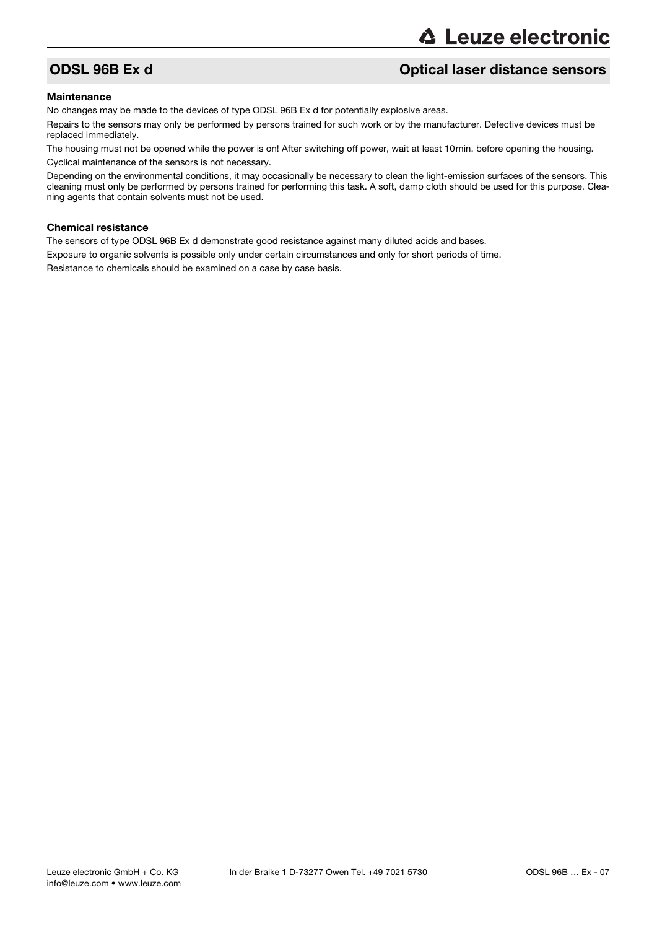# ODSL 96B Ex d Optical laser distance sensors

#### **Maintenance**

No changes may be made to the devices of type ODSL 96B Ex d for potentially explosive areas.

Repairs to the sensors may only be performed by persons trained for such work or by the manufacturer. Defective devices must be replaced immediately.

The housing must not be opened while the power is on! After switching off power, wait at least 10min. before opening the housing. Cyclical maintenance of the sensors is not necessary.

Depending on the environmental conditions, it may occasionally be necessary to clean the light-emission surfaces of the sensors. This cleaning must only be performed by persons trained for performing this task. A soft, damp cloth should be used for this purpose. Cleaning agents that contain solvents must not be used.

#### Chemical resistance

The sensors of type ODSL 96B Ex d demonstrate good resistance against many diluted acids and bases.

Exposure to organic solvents is possible only under certain circumstances and only for short periods of time.

Resistance to chemicals should be examined on a case by case basis.